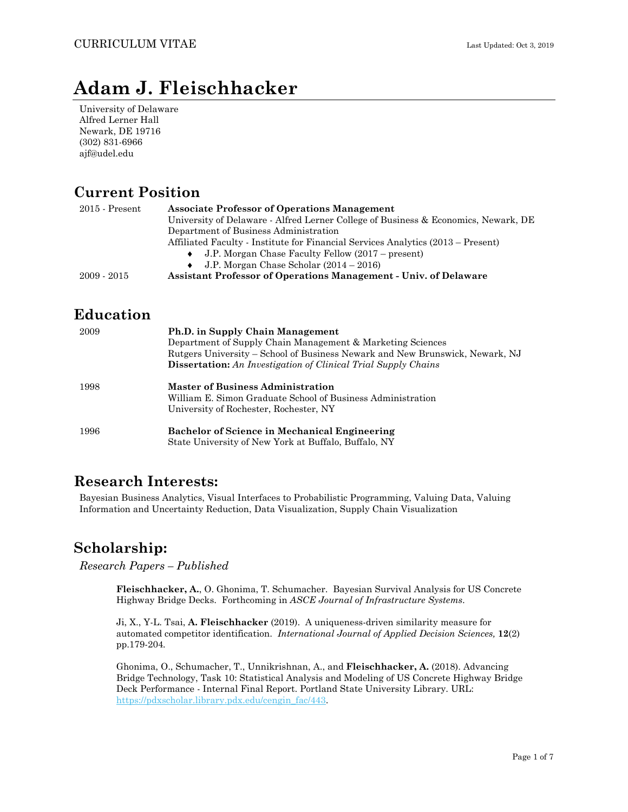# **Adam J. Fleischhacker**

University of Delaware Alfred Lerner Hall Newark, DE 19716 (302) 831-6966 ajf@udel.edu

## **Current Position**

| $2015$ - Present | <b>Associate Professor of Operations Management</b>                                |
|------------------|------------------------------------------------------------------------------------|
|                  | University of Delaware - Alfred Lerner College of Business & Economics, Newark, DE |
|                  | Department of Business Administration                                              |
|                  | Affiliated Faculty - Institute for Financial Services Analytics (2013 – Present)   |
|                  | J.P. Morgan Chase Faculty Fellow (2017 – present)                                  |
|                  | J.P. Morgan Chase Scholar $(2014 - 2016)$                                          |
| $2009 - 2015$    | <b>Assistant Professor of Operations Management - Univ. of Delaware</b>            |

## **Education**

| 2009 | Ph.D. in Supply Chain Management<br>Department of Supply Chain Management & Marketing Sciences<br>Rutgers University – School of Business Newark and New Brunswick, Newark, NJ<br><b>Dissertation:</b> An Investigation of Clinical Trial Supply Chains |
|------|---------------------------------------------------------------------------------------------------------------------------------------------------------------------------------------------------------------------------------------------------------|
| 1998 | <b>Master of Business Administration</b><br>William E. Simon Graduate School of Business Administration<br>University of Rochester, Rochester, NY                                                                                                       |
| 1996 | <b>Bachelor of Science in Mechanical Engineering</b><br>State University of New York at Buffalo, Buffalo, NY                                                                                                                                            |

## **Research Interests:**

Bayesian Business Analytics, Visual Interfaces to Probabilistic Programming, Valuing Data, Valuing Information and Uncertainty Reduction, Data Visualization, Supply Chain Visualization

## **Scholarship:**

*Research Papers – Published* 

**Fleischhacker, A.**, O. Ghonima, T. Schumacher. Bayesian Survival Analysis for US Concrete Highway Bridge Decks. Forthcoming in *ASCE Journal of Infrastructure Systems*.

Ji, X., Y-L. Tsai, **A. Fleischhacker** (2019). A uniqueness-driven similarity measure for automated competitor identification. *International Journal of Applied Decision Sciences,* **12**(2) pp.179-204*.* 

Ghonima, O., Schumacher, T., Unnikrishnan, A., and **Fleischhacker, A.** (2018). Advancing Bridge Technology, Task 10: Statistical Analysis and Modeling of US Concrete Highway Bridge Deck Performance - Internal Final Report. Portland State University Library. URL: https://pdxscholar.library.pdx.edu/cengin\_fac/443.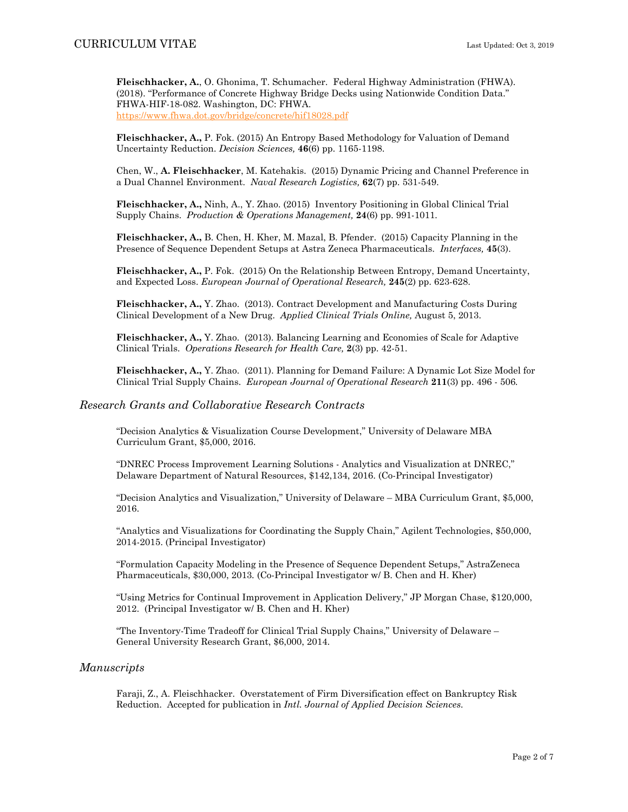**Fleischhacker, A.**, O. Ghonima, T. Schumacher. Federal Highway Administration (FHWA). (2018). "Performance of Concrete Highway Bridge Decks using Nationwide Condition Data." FHWA-HIF-18-082. Washington, DC: FHWA. https://www.fhwa.dot.gov/bridge/concrete/hif18028.pdf

**Fleischhacker, A.,** P. Fok. (2015) An Entropy Based Methodology for Valuation of Demand Uncertainty Reduction. *Decision Sciences,* **46**(6) pp. 1165-1198.

Chen, W., **A. Fleischhacker**, M. Katehakis. (2015) Dynamic Pricing and Channel Preference in a Dual Channel Environment. *Naval Research Logistics,* **62**(7) pp. 531-549.

**Fleischhacker, A.,** Ninh, A., Y. Zhao. (2015) Inventory Positioning in Global Clinical Trial Supply Chains. *Production & Operations Management,* **24**(6) pp. 991-1011*.* 

**Fleischhacker, A.,** B. Chen, H. Kher, M. Mazal, B. Pfender. (2015) Capacity Planning in the Presence of Sequence Dependent Setups at Astra Zeneca Pharmaceuticals. *Interfaces,* **45**(3).

**Fleischhacker, A.,** P. Fok. (2015) On the Relationship Between Entropy, Demand Uncertainty, and Expected Loss. *European Journal of Operational Research,* **245**(2) pp. 623-628.

**Fleischhacker, A.,** Y. Zhao. (2013). Contract Development and Manufacturing Costs During Clinical Development of a New Drug. *Applied Clinical Trials Online,* August 5, 2013.

**Fleischhacker, A.,** Y. Zhao. (2013). Balancing Learning and Economies of Scale for Adaptive Clinical Trials. *Operations Research for Health Care,* **2**(3) pp. 42-51.

**Fleischhacker, A.,** Y. Zhao. (2011). Planning for Demand Failure: A Dynamic Lot Size Model for Clinical Trial Supply Chains. *European Journal of Operational Research* **211**(3) pp. 496 - 506*.* 

### *Research Grants and Collaborative Research Contracts*

"Decision Analytics & Visualization Course Development," University of Delaware MBA Curriculum Grant, \$5,000, 2016.

"DNREC Process Improvement Learning Solutions - Analytics and Visualization at DNREC," Delaware Department of Natural Resources, \$142,134, 2016. (Co-Principal Investigator)

"Decision Analytics and Visualization," University of Delaware – MBA Curriculum Grant, \$5,000, 2016.

"Analytics and Visualizations for Coordinating the Supply Chain," Agilent Technologies, \$50,000, 2014-2015. (Principal Investigator)

"Formulation Capacity Modeling in the Presence of Sequence Dependent Setups," AstraZeneca Pharmaceuticals, \$30,000, 2013*.* (Co-Principal Investigator w/ B. Chen and H. Kher)

"Using Metrics for Continual Improvement in Application Delivery," JP Morgan Chase, \$120,000, 2012. (Principal Investigator w/ B. Chen and H. Kher)

"The Inventory-Time Tradeoff for Clinical Trial Supply Chains," University of Delaware – General University Research Grant, \$6,000, 2014.

### *Manuscripts*

Faraji, Z., A. Fleischhacker. Overstatement of Firm Diversification effect on Bankruptcy Risk Reduction. Accepted for publication in *Intl. Journal of Applied Decision Sciences*.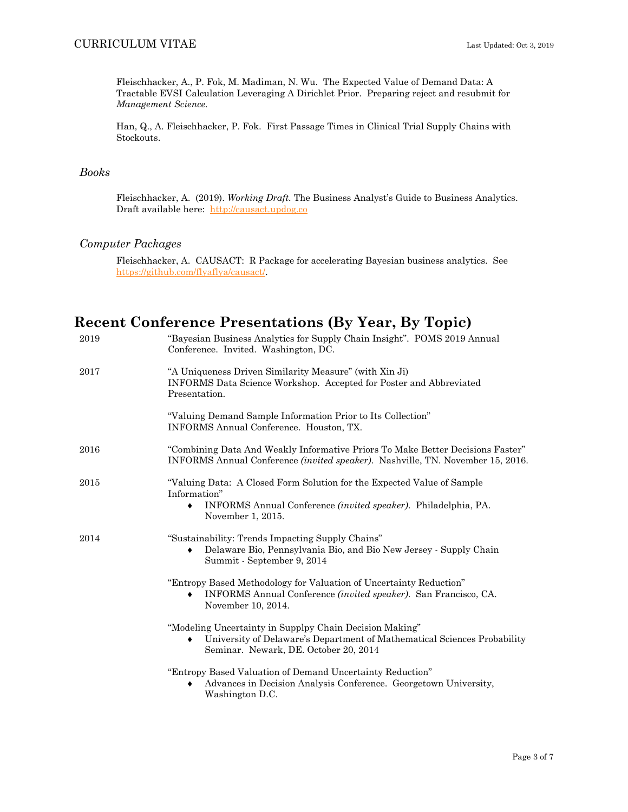Fleischhacker, A., P. Fok, M. Madiman, N. Wu. The Expected Value of Demand Data: A Tractable EVSI Calculation Leveraging A Dirichlet Prior. Preparing reject and resubmit for *Management Science.*

Han, Q., A. Fleischhacker, P. Fok. First Passage Times in Clinical Trial Supply Chains with Stockouts.

### *Books*

Fleischhacker, A. (2019). *Working Draft.* The Business Analyst's Guide to Business Analytics. Draft available here: http://causact.updog.co

### *Computer Packages*

Fleischhacker, A. CAUSACT: R Package for accelerating Bayesian business analytics. See https://github.com/flyaflya/causact/.

## **Recent Conference Presentations (By Year, By Topic)**

| 2019 | "Bayesian Business Analytics for Supply Chain Insight". POMS 2019 Annual<br>Conference. Invited. Washington, DC.                                                                   |
|------|------------------------------------------------------------------------------------------------------------------------------------------------------------------------------------|
| 2017 | "A Uniqueness Driven Similarity Measure" (with Xin Ji)<br>INFORMS Data Science Workshop. Accepted for Poster and Abbreviated<br>Presentation.                                      |
|      | "Valuing Demand Sample Information Prior to Its Collection"<br>INFORMS Annual Conference. Houston, TX.                                                                             |
| 2016 | "Combining Data And Weakly Informative Priors To Make Better Decisions Faster"<br>INFORMS Annual Conference <i>(invited speaker)</i> . Nashville, TN. November 15, 2016.           |
| 2015 | "Valuing Data: A Closed Form Solution for the Expected Value of Sample<br>Information"<br>INFORMS Annual Conference (invited speaker). Philadelphia, PA.<br>٠<br>November 1, 2015. |
| 2014 | "Sustainability: Trends Impacting Supply Chains"<br>Delaware Bio, Pennsylvania Bio, and Bio New Jersey - Supply Chain<br>٠<br>Summit - September 9, 2014                           |
|      | "Entropy Based Methodology for Valuation of Uncertainty Reduction"<br>INFORMS Annual Conference (invited speaker). San Francisco, CA.<br>٠<br>November 10, 2014.                   |
|      | "Modeling Uncertainty in Supplpy Chain Decision Making"<br>University of Delaware's Department of Mathematical Sciences Probability<br>٠<br>Seminar. Newark, DE. October 20, 2014  |
|      | "Entropy Based Valuation of Demand Uncertainty Reduction"<br>Advances in Decision Analysis Conference. Georgetown University,<br>٠<br>Washington D.C.                              |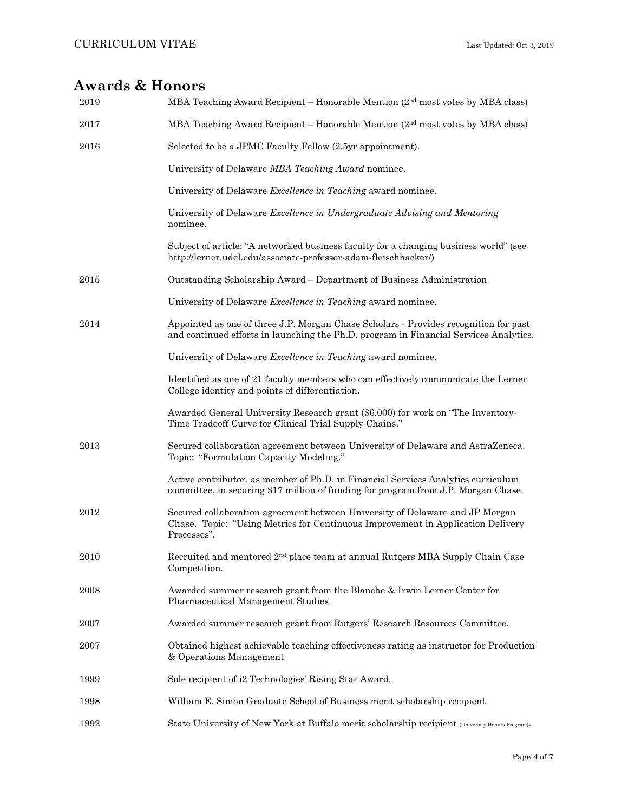## **Awards & Honors**

| 2019 | MBA Teaching Award Recipient – Honorable Mention $(2nd$ most votes by MBA class)                                                                                               |
|------|--------------------------------------------------------------------------------------------------------------------------------------------------------------------------------|
| 2017 | MBA Teaching Award Recipient - Honorable Mention $(2nd$ most votes by MBA class)                                                                                               |
| 2016 | Selected to be a JPMC Faculty Fellow (2.5yr appointment).                                                                                                                      |
|      | University of Delaware MBA Teaching Award nominee.                                                                                                                             |
|      | University of Delaware Excellence in Teaching award nominee.                                                                                                                   |
|      | University of Delaware Excellence in Undergraduate Advising and Mentoring<br>nominee.                                                                                          |
|      | Subject of article: "A networked business faculty for a changing business world" (see<br>http://lerner.udel.edu/associate-professor-adam-fleischhacker/)                       |
| 2015 | Outstanding Scholarship Award - Department of Business Administration                                                                                                          |
|      | University of Delaware Excellence in Teaching award nominee.                                                                                                                   |
| 2014 | Appointed as one of three J.P. Morgan Chase Scholars - Provides recognition for past<br>and continued efforts in launching the Ph.D. program in Financial Services Analytics.  |
|      | University of Delaware Excellence in Teaching award nominee.                                                                                                                   |
|      | Identified as one of 21 faculty members who can effectively communicate the Lerner<br>College identity and points of differentiation.                                          |
|      | Awarded General University Research grant (\$6,000) for work on "The Inventory-<br>Time Tradeoff Curve for Clinical Trial Supply Chains."                                      |
| 2013 | Secured collaboration agreement between University of Delaware and AstraZeneca.<br>Topic: "Formulation Capacity Modeling."                                                     |
|      | Active contributor, as member of Ph.D. in Financial Services Analytics curriculum<br>committee, in securing \$17 million of funding for program from J.P. Morgan Chase.        |
| 2012 | Secured collaboration agreement between University of Delaware and JP Morgan<br>Chase. Topic: "Using Metrics for Continuous Improvement in Application Delivery<br>Processes". |
| 2010 | Recruited and mentored 2 <sup>nd</sup> place team at annual Rutgers MBA Supply Chain Case<br>Competition.                                                                      |
| 2008 | Awarded summer research grant from the Blanche & Irwin Lerner Center for<br>Pharmaceutical Management Studies.                                                                 |
| 2007 | Awarded summer research grant from Rutgers' Research Resources Committee.                                                                                                      |
| 2007 | Obtained highest achievable teaching effectiveness rating as instructor for Production<br>& Operations Management                                                              |
| 1999 | Sole recipient of i2 Technologies' Rising Star Award.                                                                                                                          |
| 1998 | William E. Simon Graduate School of Business merit scholarship recipient.                                                                                                      |
| 1992 | State University of New York at Buffalo merit scholarship recipient (University Honors Program).                                                                               |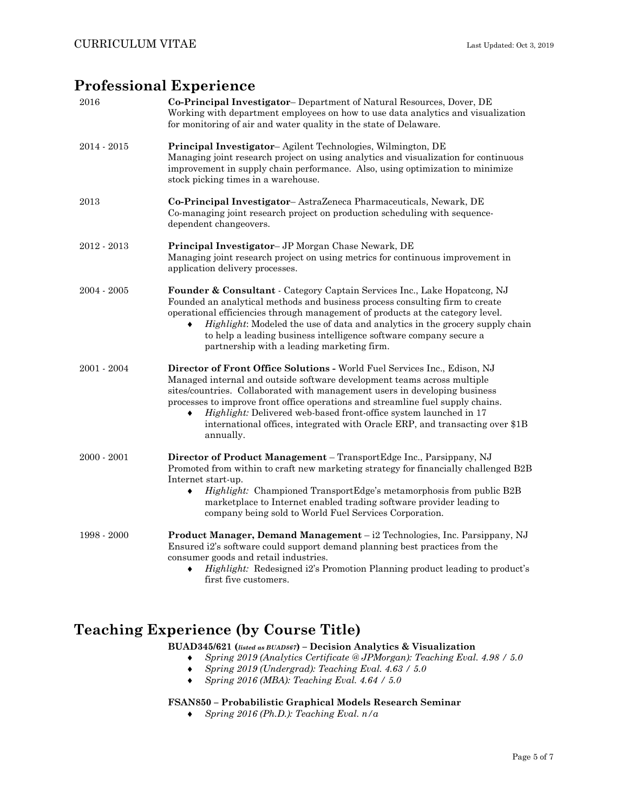## **Professional Experience**

| 2016          | Co-Principal Investigator-Department of Natural Resources, Dover, DE<br>Working with department employees on how to use data analytics and visualization<br>for monitoring of air and water quality in the state of Delaware.                                                                                                                                                                                                                                                           |
|---------------|-----------------------------------------------------------------------------------------------------------------------------------------------------------------------------------------------------------------------------------------------------------------------------------------------------------------------------------------------------------------------------------------------------------------------------------------------------------------------------------------|
| $2014 - 2015$ | Principal Investigator-Agilent Technologies, Wilmington, DE<br>Managing joint research project on using analytics and visualization for continuous<br>improvement in supply chain performance. Also, using optimization to minimize<br>stock picking times in a warehouse.                                                                                                                                                                                                              |
| 2013          | Co-Principal Investigator-AstraZeneca Pharmaceuticals, Newark, DE<br>Co-managing joint research project on production scheduling with sequence-<br>dependent changeovers.                                                                                                                                                                                                                                                                                                               |
| $2012 - 2013$ | Principal Investigator- JP Morgan Chase Newark, DE<br>Managing joint research project on using metrics for continuous improvement in<br>application delivery processes.                                                                                                                                                                                                                                                                                                                 |
| $2004 - 2005$ | Founder & Consultant - Category Captain Services Inc., Lake Hopatcong, NJ<br>Founded an analytical methods and business process consulting firm to create<br>operational efficiencies through management of products at the category level.<br><i>Highlight:</i> Modeled the use of data and analytics in the grocery supply chain<br>to help a leading business intelligence software company secure a<br>partnership with a leading marketing firm.                                   |
| $2001 - 2004$ | Director of Front Office Solutions - World Fuel Services Inc., Edison, NJ<br>Managed internal and outside software development teams across multiple<br>sites/countries. Collaborated with management users in developing business<br>processes to improve front office operations and streamline fuel supply chains.<br>Highlight: Delivered web-based front-office system launched in 17<br>international offices, integrated with Oracle ERP, and transacting over \$1B<br>annually. |
| $2000 - 2001$ | Director of Product Management - TransportEdge Inc., Parsippany, NJ<br>Promoted from within to craft new marketing strategy for financially challenged B2B<br>Internet start-up.<br>Highlight: Championed TransportEdge's metamorphosis from public B2B<br>marketplace to Internet enabled trading software provider leading to<br>company being sold to World Fuel Services Corporation.                                                                                               |
| 1998 - 2000   | Product Manager, Demand Management - i2 Technologies, Inc. Parsippany, NJ<br>Ensured i2's software could support demand planning best practices from the<br>consumer goods and retail industries.<br>Highlight: Redesigned i2's Promotion Planning product leading to product's<br>٠<br>first five customers.                                                                                                                                                                           |

## **Teaching Experience (by Course Title)**

### **BUAD345/621 (***listed as BUAD867***) – Decision Analytics & Visualization**

- *Spring 2019 (Analytics Certificate @ JPMorgan): Teaching Eval. 4.98 / 5.0*
- *Spring 2019 (Undergrad): Teaching Eval. 4.63 / 5.0*
- *Spring 2016 (MBA): Teaching Eval. 4.64 / 5.0*

### **FSAN850 – Probabilistic Graphical Models Research Seminar**

*Spring 2016 (Ph.D.): Teaching Eval. n/a*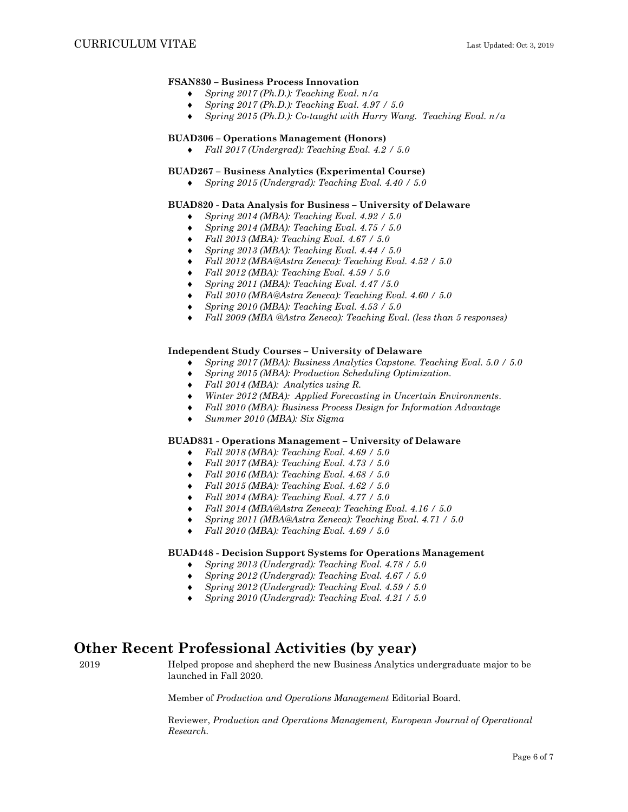### **FSAN830 – Business Process Innovation**

- *Spring 2017 (Ph.D.): Teaching Eval. n/a*
- *Spring 2017 (Ph.D.): Teaching Eval. 4.97 / 5.0*
- *Spring 2015 (Ph.D.): Co-taught with Harry Wang. Teaching Eval. n/a*

### **BUAD306 – Operations Management (Honors)**

*Fall 2017 (Undergrad): Teaching Eval. 4.2 / 5.0*

### **BUAD267 – Business Analytics (Experimental Course)**

*Spring 2015 (Undergrad): Teaching Eval. 4.40 / 5.0* 

#### **BUAD820 - Data Analysis for Business – University of Delaware**

- *Spring 2014 (MBA): Teaching Eval. 4.92 / 5.0*
- *Spring 2014 (MBA): Teaching Eval. 4.75 / 5.0*
- *Fall 2013 (MBA): Teaching Eval. 4.67 / 5.0*
- *Spring 2013 (MBA): Teaching Eval. 4.44 / 5.0*
- *Fall 2012 (MBA@Astra Zeneca): Teaching Eval. 4.52 / 5.0*
- *Fall 2012 (MBA): Teaching Eval. 4.59 / 5.0*
- *Spring 2011 (MBA): Teaching Eval. 4.47 /5.0*
- *Fall 2010 (MBA@Astra Zeneca): Teaching Eval. 4.60 / 5.0*
- *Spring 2010 (MBA): Teaching Eval. 4.53 / 5.0*
- *Fall 2009 (MBA @Astra Zeneca): Teaching Eval. (less than 5 responses)*

#### **Independent Study Courses – University of Delaware**

- *Spring 2017 (MBA): Business Analytics Capstone. Teaching Eval. 5.0 / 5.0*
- *Spring 2015 (MBA): Production Scheduling Optimization.*
- *Fall 2014 (MBA): Analytics using R.*
- *Winter 2012 (MBA): Applied Forecasting in Uncertain Environments*.
- *Fall 2010 (MBA): Business Process Design for Information Advantage*
- *Summer 2010 (MBA): Six Sigma*

#### **BUAD831 - Operations Management – University of Delaware**

- *Fall 2018 (MBA): Teaching Eval. 4.69 / 5.0*
- *Fall 2017 (MBA): Teaching Eval. 4.73 / 5.0*
- *Fall 2016 (MBA): Teaching Eval. 4.68 / 5.0*
- *Fall 2015 (MBA): Teaching Eval. 4.62 / 5.0*
- *Fall 2014 (MBA): Teaching Eval. 4.77 / 5.0*
- *Fall 2014 (MBA@Astra Zeneca): Teaching Eval. 4.16 / 5.0*
- *Spring 2011 (MBA@Astra Zeneca): Teaching Eval. 4.71 / 5.0*
- *Fall 2010 (MBA): Teaching Eval. 4.69 / 5.0*

### **BUAD448 - Decision Support Systems for Operations Management**

- *Spring 2013 (Undergrad): Teaching Eval. 4.78 / 5.0*
- *Spring 2012 (Undergrad): Teaching Eval. 4.67 / 5.0*
- *Spring 2012 (Undergrad): Teaching Eval. 4.59 / 5.0*
- *Spring 2010 (Undergrad): Teaching Eval. 4.21 / 5.0*

### **Other Recent Professional Activities (by year)**

2019 Helped propose and shepherd the new Business Analytics undergraduate major to be launched in Fall 2020.

Member of *Production and Operations Management* Editorial Board.

Reviewer, *Production and Operations Management, European Journal of Operational Research.*